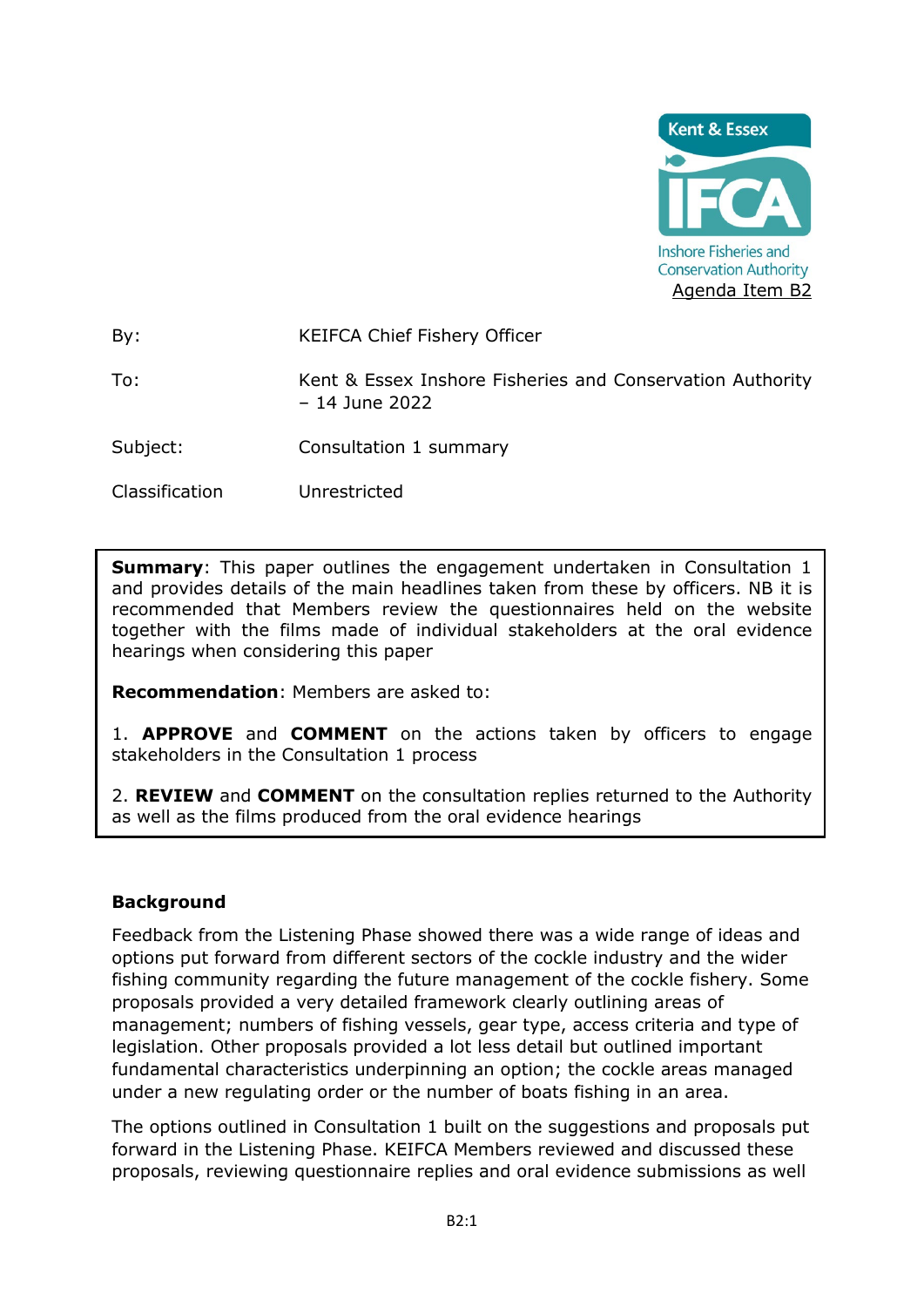

By: KEIFCA Chief Fishery Officer

To: Kent & Essex Inshore Fisheries and Conservation Authority – 14 June 2022

Subject: Consultation 1 summary

Classification Unrestricted

**Summary:** This paper outlines the engagement undertaken in Consultation 1 and provides details of the main headlines taken from these by officers. NB it is recommended that Members review the questionnaires held on the website together with the films made of individual stakeholders at the oral evidence hearings when considering this paper

**Recommendation**: Members are asked to:

1. **APPROVE** and **COMMENT** on the actions taken by officers to engage stakeholders in the Consultation 1 process

2. **REVIEW** and **COMMENT** on the consultation replies returned to the Authority as well as the films produced from the oral evidence hearings

### **Background**

Feedback from the Listening Phase showed there was a wide range of ideas and options put forward from different sectors of the cockle industry and the wider fishing community regarding the future management of the cockle fishery. Some proposals provided a very detailed framework clearly outlining areas of management; numbers of fishing vessels, gear type, access criteria and type of legislation. Other proposals provided a lot less detail but outlined important fundamental characteristics underpinning an option; the cockle areas managed under a new regulating order or the number of boats fishing in an area.

The options outlined in Consultation 1 built on the suggestions and proposals put forward in the Listening Phase. KEIFCA Members reviewed and discussed these proposals, reviewing questionnaire replies and oral evidence submissions as well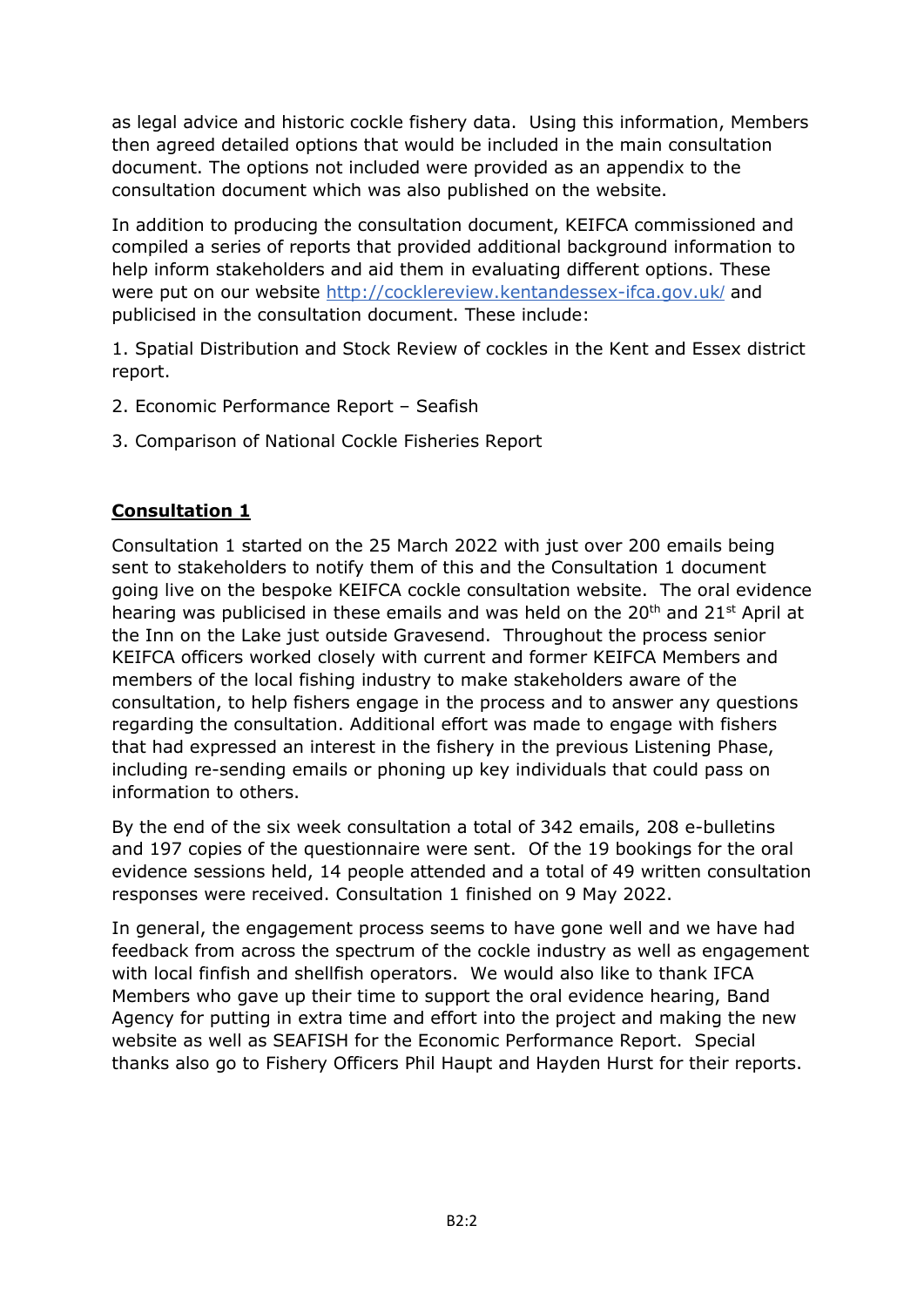as legal advice and historic cockle fishery data. Using this information, Members then agreed detailed options that would be included in the main consultation document. The options not included were provided as an appendix to the consultation document which was also published on the website.

In addition to producing the consultation document, KEIFCA commissioned and compiled a series of reports that provided additional background information to help inform stakeholders and aid them in evaluating different options. These were put on our website [http://cocklereview.kentandessex-ifca.gov.uk](http://cocklereview.kentandessex-ifca.gov.uk/)[/](http://cocklereview.kentandessex-ifca.gov.uk/) and publicised in the consultation document. These include:

1. Spatial Distribution and Stock Review of cockles in the Kent and Essex district report.

- 2. Economic Performance Report Seafish
- 3. Comparison of National Cockle Fisheries Report

# **Consultation 1**

Consultation 1 started on the 25 March 2022 with just over 200 emails being sent to stakeholders to notify them of this and the Consultation 1 document going live on the bespoke KEIFCA cockle consultation website. The oral evidence hearing was publicised in these emails and was held on the  $20<sup>th</sup>$  and  $21<sup>st</sup>$  April at the Inn on the Lake just outside Gravesend. Throughout the process senior KEIFCA officers worked closely with current and former KEIFCA Members and members of the local fishing industry to make stakeholders aware of the consultation, to help fishers engage in the process and to answer any questions regarding the consultation. Additional effort was made to engage with fishers that had expressed an interest in the fishery in the previous Listening Phase, including re-sending emails or phoning up key individuals that could pass on information to others.

By the end of the six week consultation a total of 342 emails, 208 e-bulletins and 197 copies of the questionnaire were sent. Of the 19 bookings for the oral evidence sessions held, 14 people attended and a total of 49 written consultation responses were received. Consultation 1 finished on 9 May 2022.

In general, the engagement process seems to have gone well and we have had feedback from across the spectrum of the cockle industry as well as engagement with local finfish and shellfish operators. We would also like to thank IFCA Members who gave up their time to support the oral evidence hearing, Band Agency for putting in extra time and effort into the project and making the new website as well as SEAFISH for the Economic Performance Report. Special thanks also go to Fishery Officers Phil Haupt and Hayden Hurst for their reports.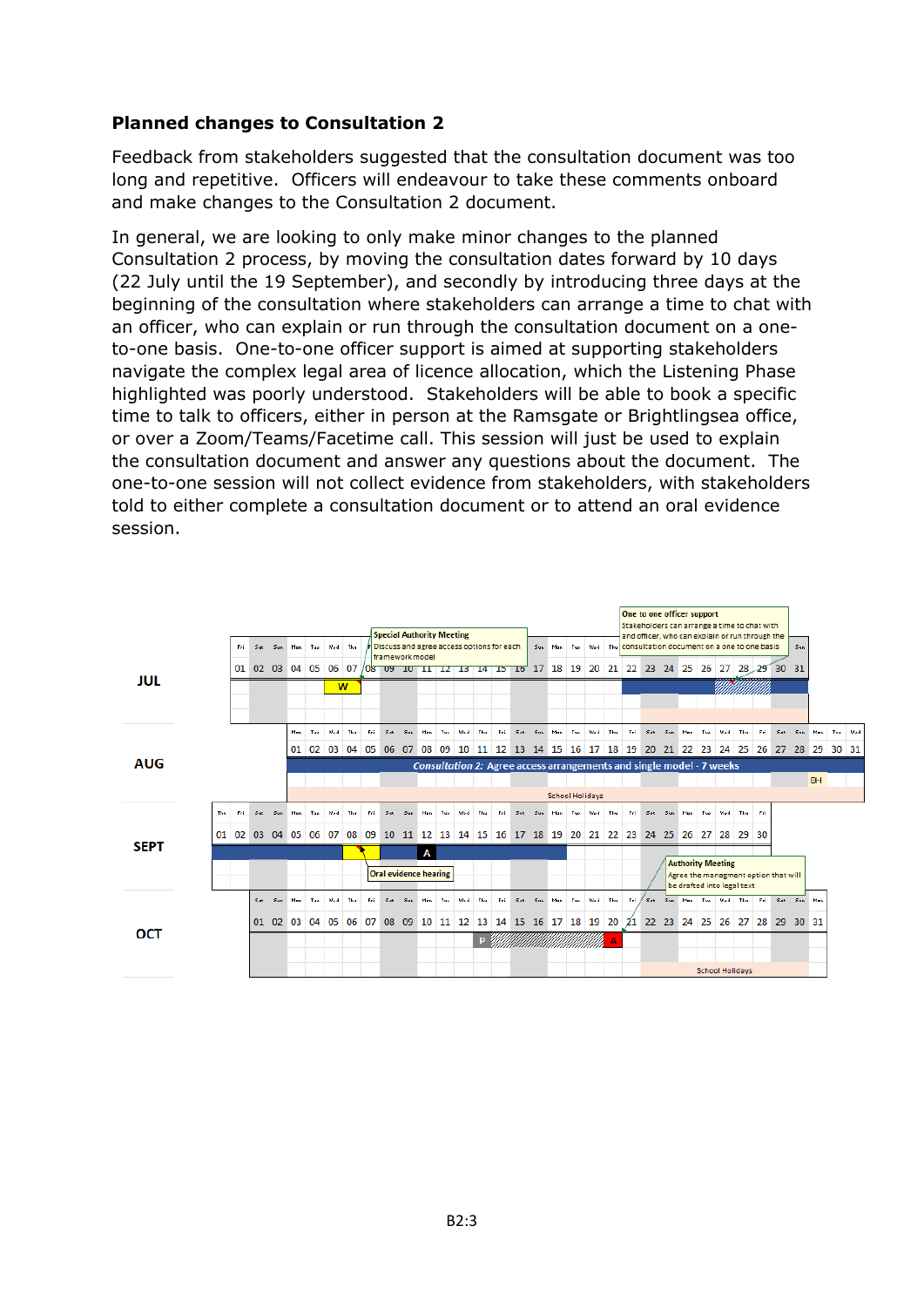# **Planned changes to Consultation 2**

Feedback from stakeholders suggested that the consultation document was too long and repetitive. Officers will endeavour to take these comments onboard and make changes to the Consultation 2 document.

In general, we are looking to only make minor changes to the planned Consultation 2 process, by moving the consultation dates forward by 10 days (22 July until the 19 September), and secondly by introducing three days at the beginning of the consultation where stakeholders can arrange a time to chat with an officer, who can explain or run through the consultation document on a oneto-one basis. One-to-one officer support is aimed at supporting stakeholders navigate the complex legal area of licence allocation, which the Listening Phase highlighted was poorly understood. Stakeholders will be able to book a specific time to talk to officers, either in person at the Ramsgate or Brightlingsea office, or over a Zoom/Teams/Facetime call. This session will just be used to explain the consultation document and answer any questions about the document. The one-to-one session will not collect evidence from stakeholders, with stakeholders told to either complete a consultation document or to attend an oral evidence session.

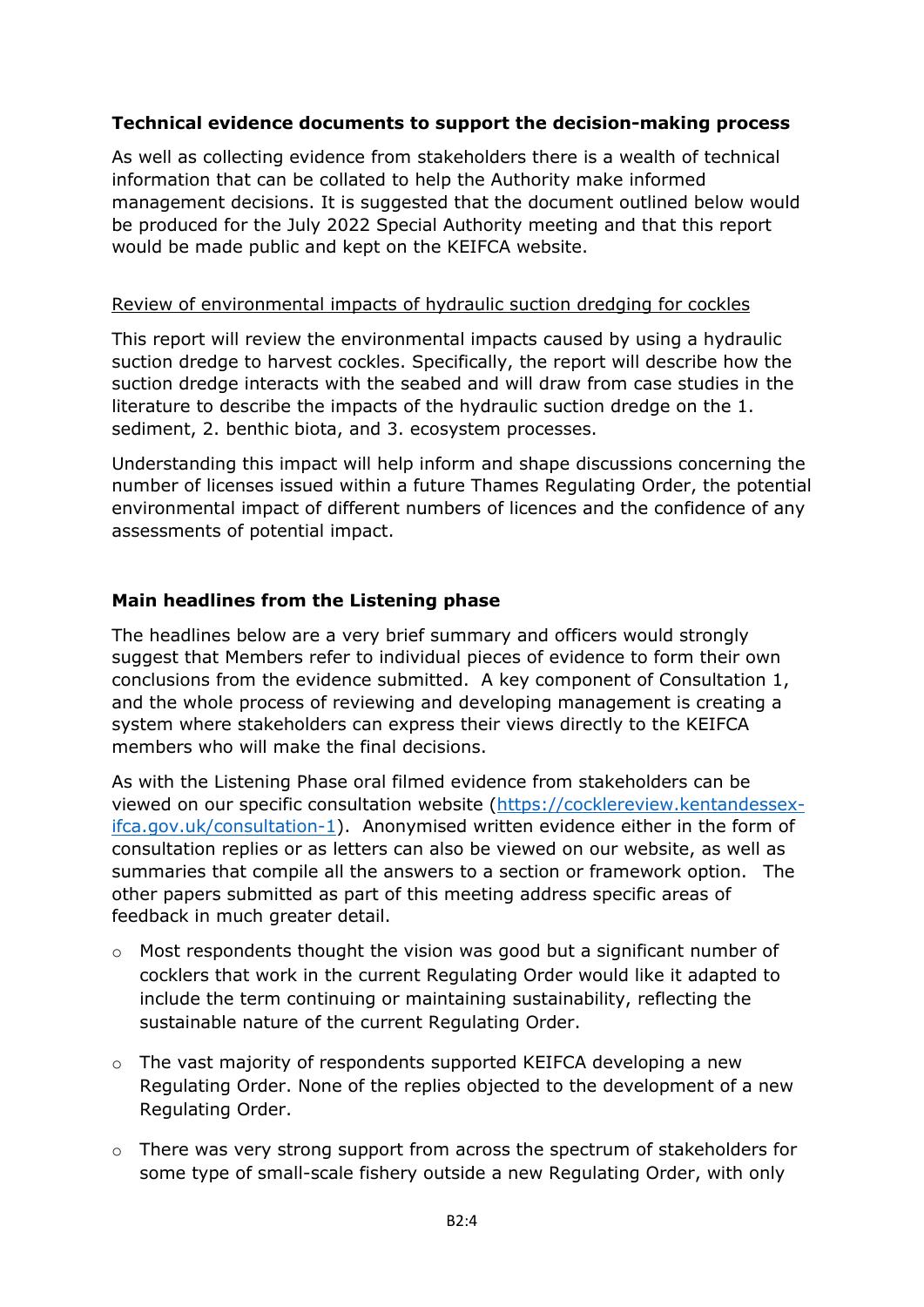## **Technical evidence documents to support the decision-making process**

As well as collecting evidence from stakeholders there is a wealth of technical information that can be collated to help the Authority make informed management decisions. It is suggested that the document outlined below would be produced for the July 2022 Special Authority meeting and that this report would be made public and kept on the KEIFCA website.

#### Review of environmental impacts of hydraulic suction dredging for cockles

This report will review the environmental impacts caused by using a hydraulic suction dredge to harvest cockles. Specifically, the report will describe how the suction dredge interacts with the seabed and will draw from case studies in the literature to describe the impacts of the hydraulic suction dredge on the 1. sediment, 2. benthic biota, and 3. ecosystem processes.

Understanding this impact will help inform and shape discussions concerning the number of licenses issued within a future Thames Regulating Order, the potential environmental impact of different numbers of licences and the confidence of any assessments of potential impact.

### **Main headlines from the Listening phase**

The headlines below are a very brief summary and officers would strongly suggest that Members refer to individual pieces of evidence to form their own conclusions from the evidence submitted. A key component of Consultation 1, and the whole process of reviewing and developing management is creating a system where stakeholders can express their views directly to the KEIFCA members who will make the final decisions.

As with the Listening Phase oral filmed evidence from stakeholders can be viewed on our specific consultation website [\(https://cocklereview.kentandessex](https://cocklereview.kentandessex-ifca.gov.uk/consultation-1)[ifca.gov.uk/consultation-1\)](https://cocklereview.kentandessex-ifca.gov.uk/consultation-1). Anonymised written evidence either in the form of consultation replies or as letters can also be viewed on our website, as well as summaries that compile all the answers to a section or framework option. The other papers submitted as part of this meeting address specific areas of feedback in much greater detail.

- o Most respondents thought the vision was good but a significant number of cocklers that work in the current Regulating Order would like it adapted to include the term continuing or maintaining sustainability, reflecting the sustainable nature of the current Regulating Order.
- $\circ$  The vast majority of respondents supported KEIFCA developing a new Regulating Order. None of the replies objected to the development of a new Regulating Order.
- $\circ$  There was very strong support from across the spectrum of stakeholders for some type of small-scale fishery outside a new Regulating Order, with only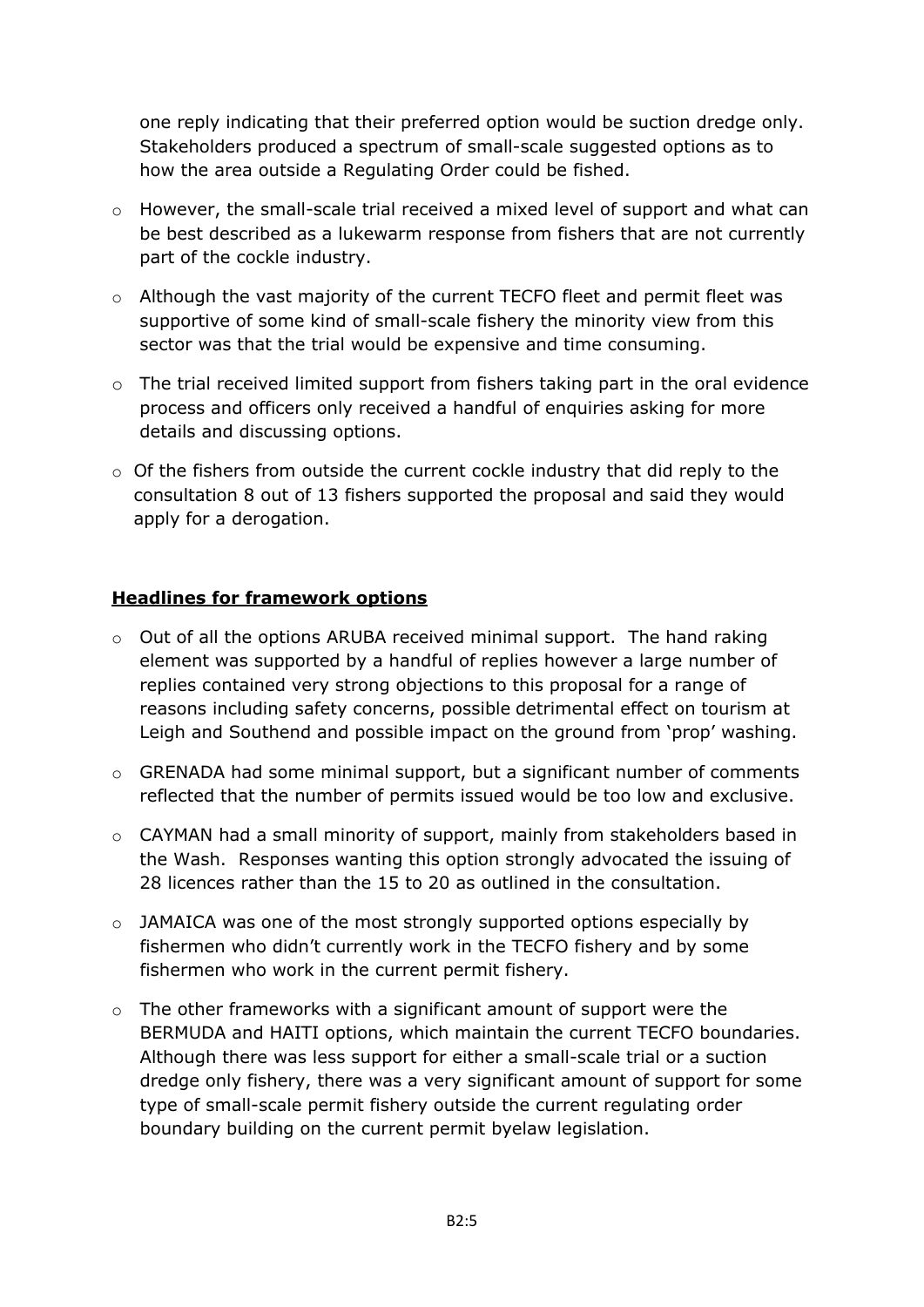one reply indicating that their preferred option would be suction dredge only. Stakeholders produced a spectrum of small-scale suggested options as to how the area outside a Regulating Order could be fished.

- o However, the small-scale trial received a mixed level of support and what can be best described as a lukewarm response from fishers that are not currently part of the cockle industry.
- o Although the vast majority of the current TECFO fleet and permit fleet was supportive of some kind of small-scale fishery the minority view from this sector was that the trial would be expensive and time consuming.
- o The trial received limited support from fishers taking part in the oral evidence process and officers only received a handful of enquiries asking for more details and discussing options.
- o Of the fishers from outside the current cockle industry that did reply to the consultation 8 out of 13 fishers supported the proposal and said they would apply for a derogation.

## **Headlines for framework options**

- $\circ$  Out of all the options ARUBA received minimal support. The hand raking element was supported by a handful of replies however a large number of replies contained very strong objections to this proposal for a range of reasons including safety concerns, possible detrimental effect on tourism at Leigh and Southend and possible impact on the ground from 'prop' washing.
- o GRENADA had some minimal support, but a significant number of comments reflected that the number of permits issued would be too low and exclusive.
- o CAYMAN had a small minority of support, mainly from stakeholders based in the Wash. Responses wanting this option strongly advocated the issuing of 28 licences rather than the 15 to 20 as outlined in the consultation.
- o JAMAICA was one of the most strongly supported options especially by fishermen who didn't currently work in the TECFO fishery and by some fishermen who work in the current permit fishery.
- o The other frameworks with a significant amount of support were the BERMUDA and HAITI options, which maintain the current TECFO boundaries. Although there was less support for either a small-scale trial or a suction dredge only fishery, there was a very significant amount of support for some type of small-scale permit fishery outside the current regulating order boundary building on the current permit byelaw legislation.